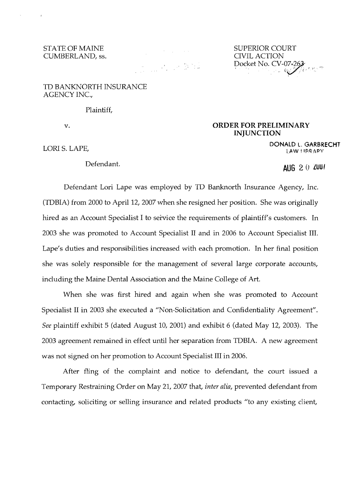CUMBERLAND, ss. CIVIL ACTION ACTION ACTION

STATE OF MAINE SUPERIOR COURT SUPERIOR COURT CUMBERLAND, ss. Docket No. CV-07+263

## TD BANKNORTH INSURANCE AGENCY INC.,

Plaintiff,

## v. **CONDER FOR PRELIMINARY INJUNCTION**

**DONALD L. GARBRECHT**<br>
LORI S. LAPE, LORI SARB RECHT

Defendant. **AUG** 2 0 **lUUI** 

Defendant Lori Lape was employed by TD Banknorth Insurance Agency, Inc. (TDBIA) from 2000 to April 12, 2007 when she resigned her position. She was originally hired as an Account Specialist I to service the requirements of plaintiff's customers. In 2003 she was promoted to Account Specialist II and in 2006 to Account Specialist **III.**  Lape's duties and responsibilities increased with each promotion. In her final position she was solely responsible for the management of several large corporate accounts, including the Maine Dental Association and the Maine College of Art.

When she was first hired and again when she was promoted to Account Specialist II in 2003 she executed a "Non-Solicitation and Confidentiality Agreement". *See* plaintiff exhibit 5 (dated August 10, 2001) and exhibit 6 (dated May 12, 2003). The 2003 agreement remained in effect until her separation from TDBIA. A new agreement was not signed on her promotion to Account Specialist III in 2006.

After fling of the complaint and notice to defendant, the court issued a Temporary Restraining Order on May 21, 2007 that, *inter alia,* prevented defendant from contacting, soliciting or selling insurance and related products "to any existing client,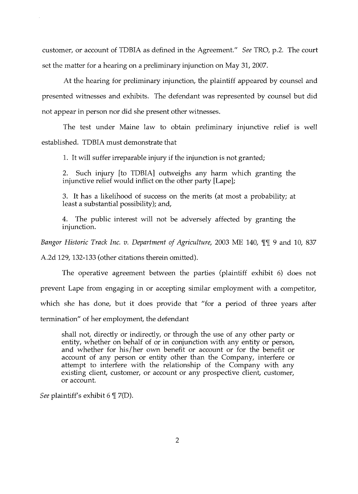customer, or account of TDBIA as defined in the Agreement." *See* TRO, p.2. The court set the matter for a hearing on a preliminary injunction on May 31, 2007.

At the hearing for preliminary injunction, the plaintiff appeared by counsel and presented witnesses and exhibits. The defendant was represented by counsel but did not appear in person nor did she present other witnesses.

The test under Maine law to obtain preliminary injunctive relief is well established. TDBIA must demonstrate that

1. It will suffer irreparable injury if the injunction is not granted;

2. Such injury [to TDBIA] outweighs any harm which granting the injunctive relief would inflict on the other party [Lape];

3. It has a likelihood of success on the merits (at most a probability; at least a substantial possibility); and,

4. The public interest will not be adversely affected by granting the injunction.

*Bangor Historic Track Inc. v. Department of Agriculture, 2003 ME 140, TT 9 and 10, 837* 

A.2d 129, 132-133 (other citations therein omitted).

The operative agreement between the parties (plaintiff exhibit 6) does not prevent Lape from engaging in or accepting similar employment with a competitor, which she has done, but it does provide that "for a period of three years after termination" of her employment, the defendant

shall not, directly or indirectly, or through the use of any other party or entity, whether on behalf of or in conjunction with any entity or person, and whether for his/her own benefit or account or for the benefit or account of any person or entity other than the Company, interfere or attempt to interfere with the relationship of the Company with any existing client, customer, or account or any prospective client, customer, or account.

*See* plaintiff's exhibit 6  $\mathcal{T}(D)$ .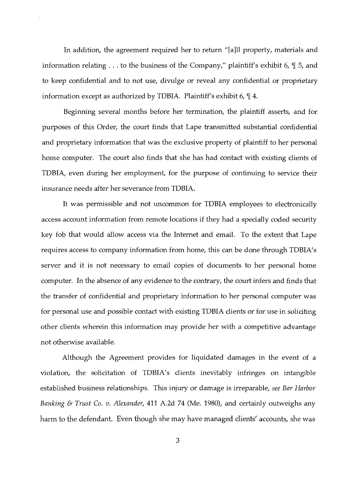In addition, the agreement required her to return "[a]ll property, materials and information relating  $\dots$  to the business of the Company," plaintiff's exhibit 6,  $\P$  5, and to keep confidential and to not use, divulge or reveal any confidential or proprietary information except as authorized by TDBIA. Plaintiff's exhibit 6,  $\mathbb{I}$  4.

Beginning several months before her termination, the plaintiff asserts, and for purposes of this Order, the court finds that Lape transmitted substantial confidential and proprietary information that was the exclusive property of plaintiff to her personal home computer. The court also finds that she has had contact with existing clients of TDBIA, even during her employment, for the purpose of continuing to service their insurance needs after her severance from TDBIA.

It was permissible and not uncommon for TDBIA employees to electronically access account information from remote locations if they had a specially coded security key fob that would allow access via the Internet and email. To the extent that Lape requires access to company information from home, this can be done through TDBIA's server and it is not necessary to email copies of documents to her personal home computer. **In** the absence of any evidence to the contrary, the court infers and finds that the transfer of confidential and proprietary information to her personal computer was for personal use and possible contact with existing TDBIA clients or for use in soliciting other clients wherein this information may provide her with a competitive advantage not otherwise available.

Although the Agreement provides for liquidated damages in the event of a violation, the solicitation of TDBIA's clients inevitably infringes on intangible established business relationships. This injury or damage is irreparable, *see Bar Harbor Banking* & *Trust Co. v. Alexander,* 411 A.2d 74 (Me. 1980), and certainly outweighs any harm to the defendant. Even though she may have managed clients' accounts, she was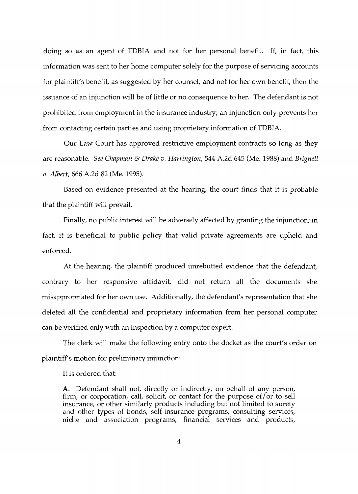doing so as an agent of TDBIA and not for her personal benefit. If, in fact, this information was sent to her home computer solely for the purpose of servicing accounts for plaintiff's benefit, as suggested by her counsel, and not for her own benefit, then the issuance of an injunction will be of little or no consequence to her. The defendant is not prohibited from employment in the insurance industry; an injunction only prevents her from contacting certain parties and using proprietary information of TDBIA.

Our Law Court has approved restrictive employment contracts so long as they are reasonable. *See Chapman* & *Drake v. Harrington,* 544 A.2d 645 (Me. 1988) and *Brignell v. Albert,* 666 A.2d 82 (Me. 1995).

Based on evidence presented at the hearing, the court finds that it is probable that the plaintiff will prevail.

Finally, no public interest will be adversely affected by granting the injunction; in fact, it is beneficial to public policy that valid private agreements are upheld and enforced.

At the hearing, the plaintiff produced unrebutted evidence that the defendant, contrary to her responsive affidavit, did not return all the documents she misappropriated for her own use. Additionally, the defendant's representation that she deleted all the confidential and proprietary information from her personal computer can be verified only with an inspection by a computer expert.

The clerk will make the following entry onto the docket as the court's order on plaintiff's motion for preliminary injunction:

It is ordered that:

A. Defendant shall not, directly or indirectly, on behalf of any person, firm, or corporation, call, solicit, or contact for the purpose of/or to sell insurance, or other similarly products including but not limited to surety and other types of bonds, self-insurance programs, consulting services, niche and association programs, financial services and products,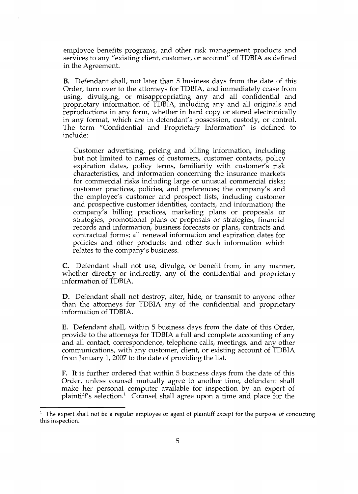employee benefits programs, and other risk management products and services to any "existing client, customer, or account" of TDBIA as defined in the Agreement.

**B.** Defendant shall, not later than 5 business days from the date of this Order, turn over to the attorneys for TDBIA, and immediately cease from using, divulging, or misappropriating any and all confidential and proprietary information of TDBIA, including any and all originals and reproductions in any form, whether in hard copy or stored electronically in any format, which are in defendant's possession, custody, or control. The term "Confidential and Proprietary Information" is defined to include:

Customer advertising, pricing and billing information, including but not limited to names of customers, customer contacts, policy expiration dates, policy terms, familiarity with customer's risk characteristics, and information concerning the insurance markets for commercial risks including large or unusual commercial risks; customer practices, policies, and preferences; the company's and the employee's customer and prospect lists, including customer and prospective customer identities, contacts, and information; the company's billing practices, marketing plans or proposals or strategies, promotional plans or proposals or strategies, financial records and information, business forecasts or plans, contracts and contractual forms; all renewal information and expiration dates for policies and other products; and other such information which relates to the company's business.

C. Defendant shall not use, divulge, or benefit from, in any manner, whether directly or indirectly, any of the confidential and proprietary information of TDBIA.

**D.** Defendant shall not destroy, alter, hide, or transmit to anyone other than the attorneys for TDBIA any of the confidential and proprietary information of TDBIA.

**E.** Defendant shall, within 5 business days from the date of this Order, provide to the attorneys for TDBIA a full and complete accounting of any and all contact, correspondence, telephone calls, meetings, and any other communications, with any customer, client, or existing account of TDBIA from January 1, 2007 to the date of providing the list.

**F.** It is further ordered that within 5 business days from the date of this Order, unless counsel mutually agree to another time, defendant shall make her personal computer available for inspection by an expert of plaintiff's selection.<sup>1</sup> Counsel shall agree upon a time and place for the

 $<sup>1</sup>$  The expert shall not be a regular employee or agent of plaintiff except for the purpose of conducting</sup> this inspection.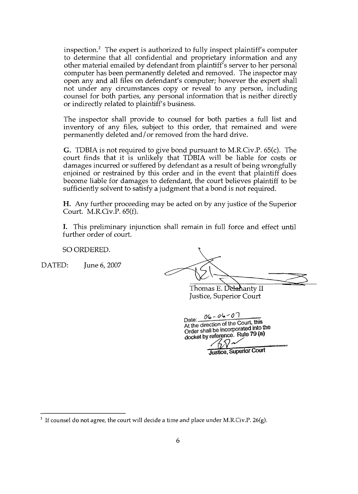inspection.2 The expert is authorized to fully inspect plaintiff's computer to determine that all confidential and proprietary information and any other material emailed by defendant from plaintiff's server to her personal computer has been permanently deleted and removed. The inspector may open any and all files on defendant's computer; however the expert shall not under any circumstances copy or reveal to any person, including counsel for both parties, any personal information that is neither directly or indirectly related to plaintiff's business.

The inspector shall provide to counsel for both parties a full list and inventory of any files, subject to this order, that remained and were permanently deleted and/ or removed from the hard drive.

G. TDBIA is not required to give bond pursuant to M.R.Civ.P. 65(c). The court finds that it is unlikely that TDBIA will be liable for costs or damages incurred or suffered by defendant as a result of being wrongfully enjoined or restrained by this order and in the event that plaintiff does become liable for damages to defendant, the court believes plaintiff to be sufficiently solvent to satisfy a judgment that a bond is not required.

H. Any further proceeding may be acted on by any justice of the Superior Court. M.R.Ov.P. 65(f).

I. This preliminary injunction shall remain in full force and effect until further order of court.

SO ORDERED.

DATED: June 6, 2007

Thomas E. Delahanty II Justice, Superior Court

Date:  $06 - 06 - 07$ At the direction of the Court,  $\frac{1}{10}$  into the Order shall be incorporated into the docket by reference. Rule 79 (a)

Justice, Superior Court

<sup>&</sup>lt;sup>2</sup> If counsel do not agree, the court will decide a time and place under M.R.Civ.P. 26(g).